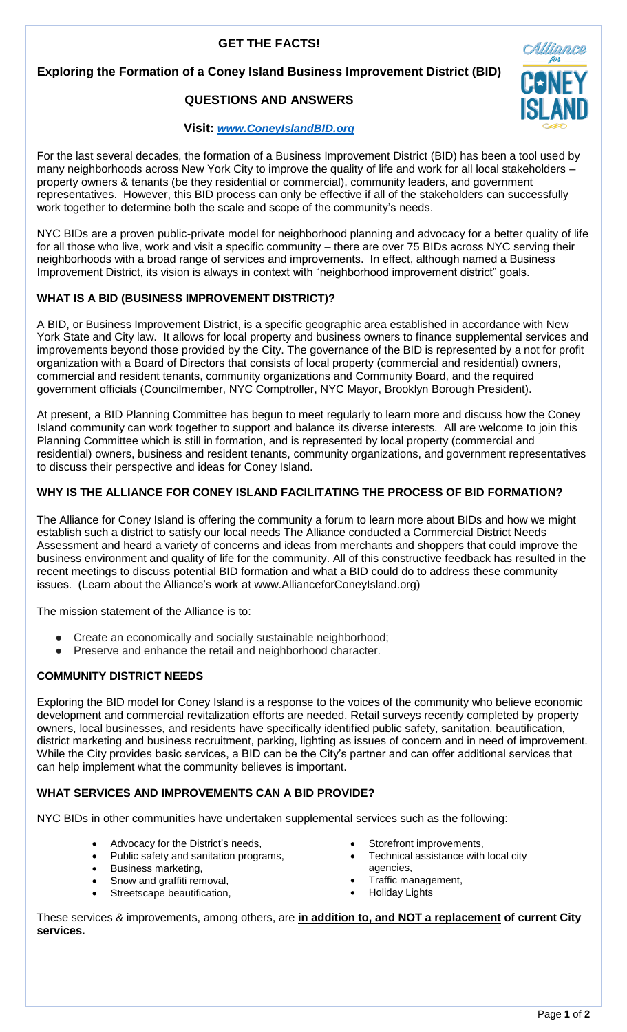# **GET THE FACTS!**

## **Exploring the Formation of a Coney Island Business Improvement District (BID)**

# **QUESTIONS AND ANSWERS**

## **Visit:** *[www.ConeyIslandBID.org](http://www.coneyislandbid.org/)*

For the last several decades, the formation of a Business Improvement District (BID) has been a tool used by many neighborhoods across New York City to improve the quality of life and work for all local stakeholders – property owners & tenants (be they residential or commercial), community leaders, and government representatives. However, this BID process can only be effective if all of the stakeholders can successfully work together to determine both the scale and scope of the community's needs.

NYC BIDs are a proven public-private model for neighborhood planning and advocacy for a better quality of life for all those who live, work and visit a specific community – there are over 75 BIDs across NYC serving their neighborhoods with a broad range of services and improvements. In effect, although named a Business Improvement District, its vision is always in context with "neighborhood improvement district" goals.

## **WHAT IS A BID (BUSINESS IMPROVEMENT DISTRICT)?**

A BID, or Business Improvement District, is a specific geographic area established in accordance with New York State and City law. It allows for local property and business owners to finance supplemental services and improvements beyond those provided by the City. The governance of the BID is represented by a not for profit organization with a Board of Directors that consists of local property (commercial and residential) owners, commercial and resident tenants, community organizations and Community Board, and the required government officials (Councilmember, NYC Comptroller, NYC Mayor, Brooklyn Borough President).

At present, a BID Planning Committee has begun to meet regularly to learn more and discuss how the Coney Island community can work together to support and balance its diverse interests. All are welcome to join this Planning Committee which is still in formation, and is represented by local property (commercial and residential) owners, business and resident tenants, community organizations, and government representatives to discuss their perspective and ideas for Coney Island.

## **WHY IS THE ALLIANCE FOR CONEY ISLAND FACILITATING THE PROCESS OF BID FORMATION?**

The Alliance for Coney Island is offering the community a forum to learn more about BIDs and how we might establish such a district to satisfy our local needs The Alliance conducted a Commercial District Needs Assessment and heard a variety of concerns and ideas from merchants and shoppers that could improve the business environment and quality of life for the community. All of this constructive feedback has resulted in the recent meetings to discuss potential BID formation and what a BID could do to address these community issues. (Learn about the Alliance's work at www.AllianceforConeyIsland.org)

The mission statement of the Alliance is to:

- Create an economically and socially sustainable neighborhood;
- Preserve and enhance the retail and neighborhood character.

## **COMMUNITY DISTRICT NEEDS**

Exploring the BID model for Coney Island is a response to the voices of the community who believe economic development and commercial revitalization efforts are needed. Retail surveys recently completed by property owners, local businesses, and residents have specifically identified public safety, sanitation, beautification, district marketing and business recruitment, parking, lighting as issues of concern and in need of improvement. While the City provides basic services, a BID can be the City's partner and can offer additional services that can help implement what the community believes is important.

## **WHAT SERVICES AND IMPROVEMENTS CAN A BID PROVIDE?**

NYC BIDs in other communities have undertaken supplemental services such as the following:

- Advocacy for the District's needs,
- Public safety and sanitation programs,
- Business marketing,
- Snow and graffiti removal,
- Streetscape beautification,
- Storefront improvements.
- Technical assistance with local city agencies,
- Traffic management,
- Holiday Lights

These services & improvements, among others, are **in addition to, and NOT a replacement of current City services.**